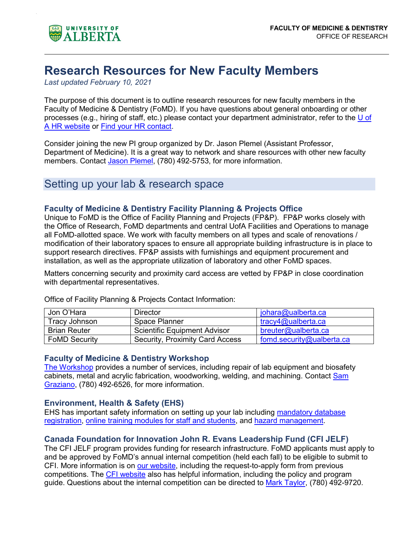

# **Research Resources for New Faculty Members**

*Last updated February 10, 2021*

The purpose of this document is to outline research resources for new faculty members in the Faculty of Medicine & Dentistry (FoMD). If you have questions about general onboarding or other processes (e.g., hiring of staff, etc.) please contact your department administrator, refer to the [U of](https://www.ualberta.ca/human-resource-services/)  [A HR website](https://www.ualberta.ca/human-resource-services/) or [Find your HR contact.](https://apps.hrs.ualberta.ca/HRSContactForm/Home/NotEmployeeForm)

Consider joining the new PI group organized by Dr. Jason Plemel (Assistant Professor, Department of Medicine). It is a great way to network and share resources with other new faculty members. Contact [Jason Plemel,](mailto:jrplemel@ualberta.ca) (780) 492-5753, for more information.

### Setting up your lab & research space

### **Faculty of Medicine & Dentistry Facility Planning & Projects Office**

Unique to FoMD is the Office of Facility Planning and Projects (FP&P). FP&P works closely with the Office of Research, FoMD departments and central UofA Facilities and Operations to manage all FoMD-allotted space. We work with faculty members on all types and scale of renovations / modification of their laboratory spaces to ensure all appropriate building infrastructure is in place to support research directives. FP&P assists with furnishings and equipment procurement and installation, as well as the appropriate utilization of laboratory and other FoMD spaces.

Matters concerning security and proximity card access are vetted by FP&P in close coordination with departmental representatives.

| Jon O'Hara           | Director                        | johara@ualberta.ca        |
|----------------------|---------------------------------|---------------------------|
| Tracy Johnson        | Space Planner                   | tracy4@ualberta.ca        |
| <b>Brian Reuter</b>  | Scientific Equipment Advisor    | breuter@ualberta.ca       |
| <b>FoMD Security</b> | Security, Proximity Card Access | fomd.security@ualberta.ca |

Office of Facility Planning & Projects Contact Information:

#### **Faculty of Medicine & Dentistry Workshop**

[The Workshop](https://www.ualberta.ca/medicine/research/corefacilities/workshop) provides a number of services, including repair of lab equipment and biosafety cabinets, metal and acrylic fabrication, woodworking, welding, and machining. Contact [Sam](mailto:graziano@ualberta.ca)  [Graziano,](mailto:graziano@ualberta.ca) (780) 492-6526, for more information.

### **Environment, Health & Safety (EHS)**

EHS has important safety information on setting up your lab including [mandatory database](https://www.ualberta.ca/environment-health-safety/hazard-management/how-can-i-control-them/administrative-controls/ehs-database)  [registration,](https://www.ualberta.ca/environment-health-safety/hazard-management/how-can-i-control-them/administrative-controls/ehs-database) [online training modules for staff and students,](https://www.ualberta.ca/environment-health-safety/training) and [hazard management.](https://www.ualberta.ca/vice-president-finance/environment-health-and-safety/hazard-management/index.html)

### **Canada Foundation for Innovation John R. Evans Leadership Fund (CFI JELF)**

The CFI JELF program provides funding for research infrastructure. FoMD applicants must apply to and be approved by FoMD's annual internal competition (held each fall) to be eligible to submit to CFI. More information is on [our website,](https://www.ualberta.ca/medicine/research/funding-grants-awards/fundingopportunities/cfi-john-r-evans-leaders-fund.html) including the request-to-apply form from previous competitions. The [CFI website](https://www.innovation.ca/awards/policy-and-program-guide-and-supplemental-information) also has helpful information, including the policy and program guide. Questions about the internal competition can be directed to [Mark Taylor,](mailto:mtaylor4@ualberta.ca) (780) 492-9720.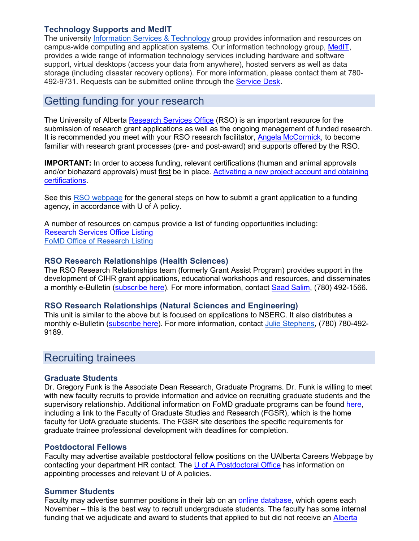### **Technology Supports and MedIT**

The university [Information Services & Technology](https://www.ualberta.ca/information-services-and-technology/index.html) group provides information and resources on campus-wide computing and application systems. Our information technology group, [MedIT,](https://www.ualberta.ca/medicine/programs/medit) provides a wide range of information technology services including hardware and software support, virtual desktops (access your data from anywhere), hosted servers as well as data storage (including disaster recovery options). For more information, please contact them at 780- 492-9731. Requests can be submitted online through the [Service Desk.](https://servicedesk.med.ualberta.ca/)

## Getting funding for your research

The University of Alberta [Research Services Office](https://www.ualberta.ca/research/services) (RSO) is an important resource for the submission of research grant applications as well as the ongoing management of funded research. It is recommended you meet with your RSO research facilitator, [Angela McCormick,](mailto:angela.mccormick@ualberta.ca) to become familiar with research grant processes (pre- and post-award) and supports offered by the RSO.

**IMPORTANT:** In order to access funding, relevant certifications (human and animal approvals and/or biohazard approvals) must first be in place. [Activating a new project account and obtaining](https://www.ualberta.ca/research/services/receive-manage-funding/activate-project-account/certifications)  [certifications.](https://www.ualberta.ca/research/services/receive-manage-funding/activate-project-account/certifications)

See this [RSO webpage](https://www.google.com/url?q=https://www.ualberta.ca/research-services-office/proposal-submission/index.html&sa=D&source=editors&ust=1612302436648000&usg=AOvVaw2_FC7i3Wdv1lNHOL5K0zho) for the general steps on how to submit a grant application to a funding agency, in accordance with U of A policy.

A number of resources on campus provide a list of funding opportunities including: [Research Services Office Listing](https://www.ualberta.ca/research/services/funding-opportunities) [FoMD Office of Research Listing](https://www.ualberta.ca/medicine/research/funding-grants-awards/fundingopportunities/external-opportunities.html)

### **RSO Research Relationships (Health Sciences)**

The RSO Research Relationships team (formerly Grant Assist Program) provides support in the development of CIHR grant applications, educational workshops and resources, and disseminates a monthly e-Bulletin [\(subscribe here\)](http://eepurl.com/cs67GD). For more information, contact Saad Salim, (780) 492-1566.

### **RSO Research Relationships (Natural Sciences and Engineering)**

This unit is similar to the above but is focused on applications to NSERC. It also distributes a monthly e-Bulletin [\(subscribe here\)](https://ualberta.us12.list-manage.com/subscribe?u=5e059f42d4143cadcee2c3b58&id=97ddcd35eb). For more information, contact [Julie Stephens,](mailto:julie.stephens@ualberta.ca) (780) 780-492- 9189.

### Recruiting trainees

### **Graduate Students**

Dr. Gregory Funk is the Associate Dean Research, Graduate Programs. Dr. Funk is willing to meet with new faculty recruits to provide information and advice on recruiting graduate students and the supervisory relationship. Additional information on FoMD graduate programs can be found [here,](https://www.ualberta.ca/medicine/research/resources/graduate/index.html) including a link to the Faculty of Graduate Studies and Research (FGSR), which is the home faculty for UofA graduate students. The FGSR site describes the specific requirements for graduate trainee professional development with deadlines for completion.

### **Postdoctoral Fellows**

Faculty may advertise available postdoctoral fellow positions on the UAlberta Careers Webpage by contacting your department HR contact. The [U of A Postdoctoral Office](https://www.ualberta.ca/research/support/post-doctoral-office) has information on appointing processes and relevant U of A policies.

### **Summer Students**

Faculty may advertise summer positions in their lab on an [online database,](https://summerstudentpositions.med.ualberta.ca/) which opens each November – this is the best way to recruit undergraduate students. The faculty has some internal funding that we adjudicate and award to students that applied to but did not receive an [Alberta](https://www.ualberta.ca/undergraduate-research-initiative/funding/alberta-innovates-summer-studentships)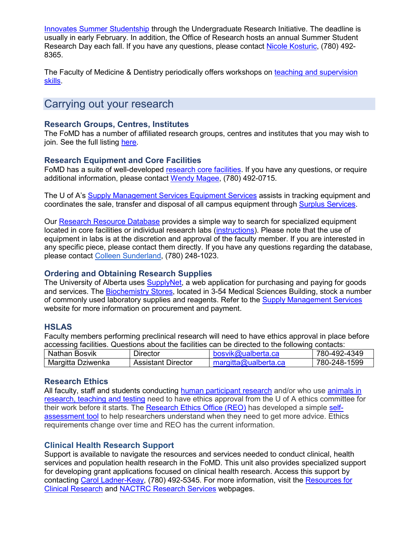[Innovates Summer Studentship](https://www.ualberta.ca/undergraduate-research-initiative/funding/alberta-innovates-summer-studentships) through the Undergraduate Research Initiative. The deadline is usually in early February. In addition, the Office of Research hosts an annual Summer Student Research Day each fall. If you have any questions, please contact [Nicole Kosturic,](mailto:nkosturi@ualberta.ca) (780) 492- 8365.

The Faculty of Medicine & Dentistry periodically offers workshops on [teaching and supervision](https://www.ualberta.ca/medicine/resources/faculty-and-staff/development/teachingmastery/index.html)  [skills.](https://www.ualberta.ca/medicine/resources/faculty-and-staff/development/teachingmastery/index.html)

### Carrying out your research

### **Research Groups, Centres, Institutes**

The FoMD has a number of affiliated research groups, centres and institutes that you may wish to join. See the full listing [here.](https://www.ualberta.ca/medicine/departments/index.html)

### **Research Equipment and Core Facilities**

FoMD has a suite of well-developed [research core facilities.](https://www.ualberta.ca/medicine/research/corefacilities) If you have any questions, or require additional information, please contact [Wendy Magee,](mailto:wmagee@ualberta.ca) (780) 492-0715.

The U of A's [Supply Management Services Equipment Services](https://www.ualberta.ca/vice-president-finance/supply-management-services/distributionservices/equipmentservices/index.html) assists in tracking equipment and coordinates the sale, transfer and disposal of all campus equipment through [Surplus Services.](https://www.ualberta.ca/vice-president-finance/supply-management-services/distributionservices/surplusservices.html)

Our [Research Resource Database](https://farm.med.ualberta.ca/Research/ResearchResource/Index) provides a simple way to search for specialized equipment located in core facilities or individual research labs [\(instructions\)](https://cloudfront.ualberta.ca/-/media/medicine/research/cores/using-the-research-resource-database-jan-2019.pdf). Please note that the use of equipment in labs is at the discretion and approval of the faculty member. If you are interested in any specific piece, please contact them directly. If you have any questions regarding the database, please contact [Colleen Sunderland,](mailto:fomdanalyst@ualberta.ca) (780) 248-1023.

### **Ordering and Obtaining Research Supplies**

The University of Alberta uses [SupplyNet,](https://www.ualberta.ca/vice-president-finance/supply-management-services/supplynet/index.html) a web application for purchasing and paying for goods and services. The [Biochemistry Stores,](http://www.biochemstores.ualberta.ca/) located in 3-54 Medical Sciences Building, stock a number of commonly used laboratory supplies and reagents. Refer to the [Supply Management Services](https://www.ualberta.ca/vice-president-finance/supply-management-services/index.html) website for more information on procurement and payment.

### **HSLAS**

Faculty members performing preclinical research will need to have ethics approval in place before accessing facilities. Questions about the facilities can be directed to the following contacts:

| Nathan Bosvik     | <b>Director</b>           | bosvik@ualberta.ca   | 780-492-4349 |
|-------------------|---------------------------|----------------------|--------------|
| Margitta Dziwenka | <b>Assistant Director</b> | margitta@ualberta.ca | 780-248-1599 |

### **Research Ethics**

All faculty, staff and students conducting [human participant research](https://medicine.createsend1.com/t/d-l-ntlitid-euliylriy-d/) and/or who use animals in [research, teaching and testing](https://medicine.createsend1.com/t/d-l-ntlitid-euliylriy-h/) need to have ethics approval from the U of A ethics committee for their work before it starts. The [Research Ethics Office \(REO\)](https://www.ualberta.ca/research/support/ethics-office) has developed a simple [self](https://medicine.createsend1.com/t/d-l-ntlitid-euliylriy-i/)[assessment tool](https://medicine.createsend1.com/t/d-l-ntlitid-euliylriy-i/) to help researchers understand when they need to get more advice. Ethics requirements change over time and REO has the current information.

### **Clinical Health Research Support**

Support is available to navigate the resources and services needed to conduct clinical, health services and population health research in the FoMD. This unit also provides specialized support for developing grant applications focused on clinical health research. Access this support by contacting [Carol Ladner-Keay,](mailto:cladner@ualberta.ca) (780) 492-5345. For more information, visit the Resources for [Clinical Research](https://www.ualberta.ca/medicine/research/resources/resources-for-clinical-researchers/index.html) and [NACTRC Research Services](https://nactrc.ca/researchers/) webpages.